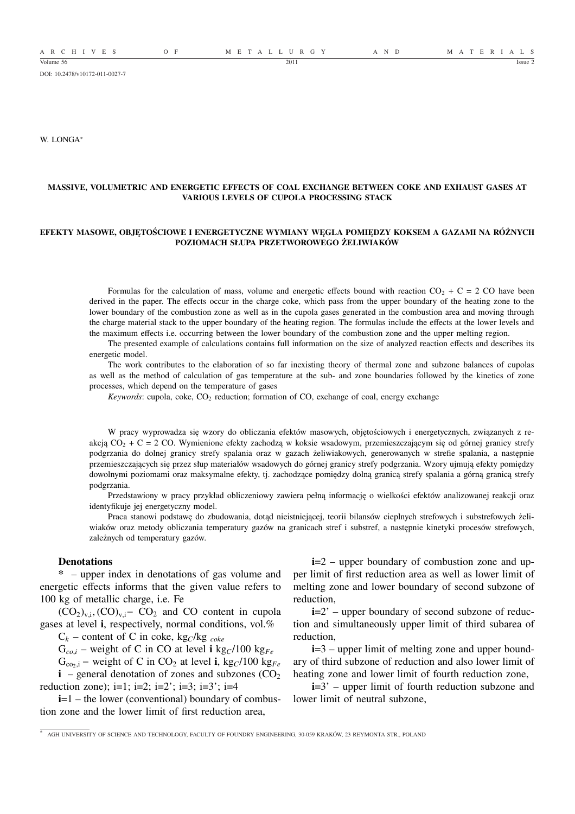DOI: 10.2478/v10172-011-0027-7

W. LONGA<sup>∗</sup>

## **MASSIVE, VOLUMETRIC AND ENERGETIC EFFECTS OF COAL EXCHANGE BETWEEN COKE AND EXHAUST GASES AT VARIOUS LEVELS OF CUPOLA PROCESSING STACK**

## **EFEKTY MASOWE, OBJĘTOŚCIOWE I ENERGETYCZNE WYMIANY WĘGLA POMIĘDZY KOKSEM A GAZAMI NA RÓŻNYCH POZIOMACH SŁUPA PRZETWOROWEGO ŻELIWIAKÓW**

Formulas for the calculation of mass, volume and energetic effects bound with reaction  $CO_2 + C = 2 CO$  have been derived in the paper. The effects occur in the charge coke, which pass from the upper boundary of the heating zone to the lower boundary of the combustion zone as well as in the cupola gases generated in the combustion area and moving through the charge material stack to the upper boundary of the heating region. The formulas include the effects at the lower levels and the maximum effects i.e. occurring between the lower boundary of the combustion zone and the upper melting region.

The presented example of calculations contains full information on the size of analyzed reaction effects and describes its energetic model.

The work contributes to the elaboration of so far inexisting theory of thermal zone and subzone balances of cupolas as well as the method of calculation of gas temperature at the sub- and zone boundaries followed by the kinetics of zone processes, which depend on the temperature of gases

*Keywords*: cupola, coke, CO<sub>2</sub> reduction; formation of CO, exchange of coal, energy exchange

W pracy wyprowadza się wzory do obliczania efektów masowych, objętościowych i energetycznych, związanych z reakcją  $CO_2 + C = 2$  CO. Wymienione efekty zachodzą w koksie wsadowym, przemieszczającym się od górnej granicy strefy podgrzania do dolnej granicy strefy spalania oraz w gazach żeliwiakowych, generowanych w strefie spalania, a następnie przemieszczających się przez słup materiałów wsadowych do górnej granicy strefy podgrzania. Wzory ujmują efekty pomiędzy dowolnymi poziomami oraz maksymalne efekty, tj. zachodzące pomiędzy dolną granicą strefy spalania a górną granicą strefy podgrzania.

Przedstawiony w pracy przykład obliczeniowy zawiera pełną informację o wielkości efektów analizowanej reakcji oraz identyfikuje jej energetyczny model.

Praca stanowi podstawę do zbudowania, dotąd nieistniejącej, teorii bilansów cieplnych strefowych i substrefowych żeliwiaków oraz metody obliczania temperatury gazów na granicach stref i substref, a następnie kinetyki procesów strefowych, zależnych od temperatury gazów.

#### **Denotations**

**\*** – upper index in denotations of gas volume and energetic effects informs that the given value refers to 100 kg of metallic charge, i.e. Fe

 $(CO_2)_{v,i}$ ,  $(CO)_{v,i}$  –  $CO_2$  and CO content in cupola gases at level **i**, respectively, normal conditions, vol.%

 $C_k$  – content of C in coke, kg<sub>C</sub>/kg <sub>coke</sub>

 $G_{co,i}$  – weight of C in CO at level **i** kg<sub>*C*</sub>/100 kg<sub>*Fe*</sub>

 $G_{\text{co}_2,i}$  – weight of C in CO<sub>2</sub> at level **i**, kg<sub>*C*</sub>/100 kg<sub>*Fe</sub>*</sub>  $\mathbf{i}$  – general denotation of zones and subzones ( $CO<sub>2</sub>$ ) reduction zone);  $i=1$ ;  $i=2$ ;  $i=2$ <sup>\*</sup>;  $i=3$ <sup>\*</sup>;  $i=4$ 

**i**=1 – the lower (conventional) boundary of combustion zone and the lower limit of first reduction area,

**i**=2 – upper boundary of combustion zone and upper limit of first reduction area as well as lower limit of melting zone and lower boundary of second subzone of reduction,

**i**=2' – upper boundary of second subzone of reduction and simultaneously upper limit of third subarea of reduction,

**i**=3 – upper limit of melting zone and upper boundary of third subzone of reduction and also lower limit of heating zone and lower limit of fourth reduction zone,

**i**=3<sup>'</sup> – upper limit of fourth reduction subzone and lower limit of neutral subzone,

<sup>∗</sup> AGH UNIVERSITY OF SCIENCE AND TECHNOLOGY, FACULTY OF FOUNDRY ENGINEERING, 30-059 KRAKÓW, 23 REYMONTA STR., POLAND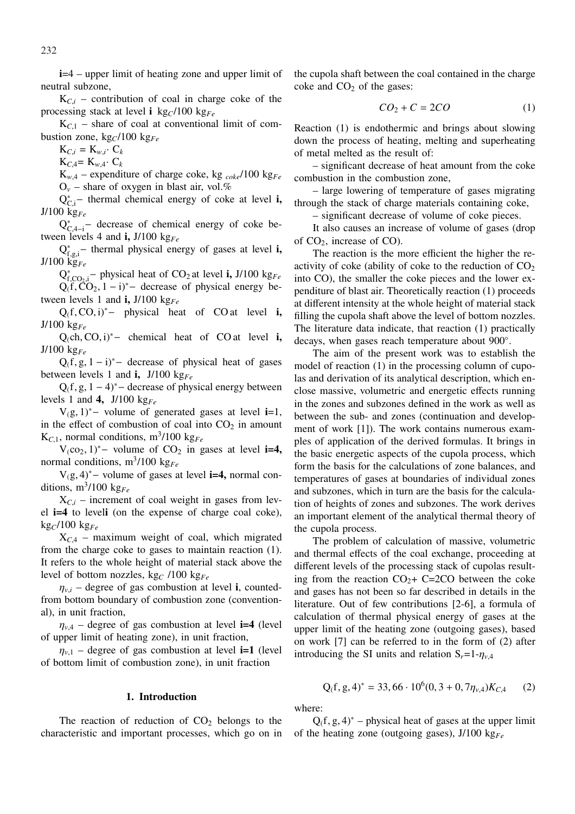**i**=4 – upper limit of heating zone and upper limit of neutral subzone,

 $K_{C,i}$  – contribution of coal in charge coke of the processing stack at level **i** kg<sub>C</sub>/100 kg<sub>Fe</sub>

 $K_{C1}$  – share of coal at conventional limit of combustion zone,  $kg_C/100$   $kg_{Fe}$ 

 $K_{C,i} = K_{w,i}$ .  $C_k$ 

 $K_{C,4} = K_{w,4} \cdot C_k$ 

 $K_{w,4}$  – expenditure of charge coke, kg  $_{coke}/100$  kg<sub>Fe</sub>  $O_v$  – share of oxygen in blast air, vol.%

Q<sup>\*</sup><sub>C,i</sub>− thermal chemical energy of coke at level **i**, J/100 kg*Fe*

 $Q_{C,4-i}^*$  decrease of chemical energy of coke between levels 4 and **i,** J/100 kg*Fe*

Q ∗ f,g,i − thermal physical energy of gases at level **i,** J/100 kg*Fe*

 $Q_{f,CO_2,i}^*$  – physical heat of CO<sub>2</sub> at level **i**, J/100 kg<sub>Fe</sub>  $Q_1 f, \tilde{C} O_2, 1 - i^*$  decrease of physical energy between levels 1 and **i**,  $J/100$  kg<sub>Fe</sub>

Q(f, CO, i)<sup>∗</sup>− physical heat of COat level **i,** J/100 kg*Fe*

Q(ch, CO, i)<sup>∗</sup>− chemical heat of COat level **i,** J/100 kg*Fe*

 $Q_1f, g, 1-i$ <sup>\*</sup>− decrease of physical heat of gases between levels 1 and **i,** J/100 kg*Fe*

 $Q_1f, g, 1 - 4$ <sup>\*</sup> − decrease of physical energy between levels 1 and **4,** J/100 kg*Fe*

V(g, 1)<sup>∗</sup>− volume of generated gases at level **i**=1, in the effect of combustion of coal into  $CO<sub>2</sub>$  in amount  $K_{C,1}$ , normal conditions, m<sup>3</sup>/100 kg<sub>Fe</sub>

 $V_1CO_2$ , 1)<sup>∗</sup>− volume of  $CO_2$  in gases at level **i=4**, normal conditions, m<sup>3</sup> /100 kg*Fe*

V(g, 4)<sup>∗</sup>− volume of gases at level **i=4,** normal conditions,  $m^3/100$  kg<sub>Fe</sub>

 $X_{C,i}$  – increment of coal weight in gases from level **i=4** to level**i** (on the expense of charge coal coke),  $kg_C/100$  kg<sub>Fe</sub>

 $X_{C<sub>4</sub>}$  – maximum weight of coal, which migrated from the charge coke to gases to maintain reaction (1). It refers to the whole height of material stack above the level of bottom nozzles, kg*<sup>C</sup>* /100 kg*Fe*

 $\eta_{v,i}$  – degree of gas combustion at level **i**, countedfrom bottom boundary of combustion zone (conventional), in unit fraction,

 $\eta_{v,4}$  – degree of gas combustion at level **i=4** (level of upper limit of heating zone), in unit fraction,

 $\eta_{v,1}$  – degree of gas combustion at level **i**=1 (level of bottom limit of combustion zone), in unit fraction

# **1. Introduction**

The reaction of reduction of  $CO<sub>2</sub>$  belongs to the characteristic and important processes, which go on in

the cupola shaft between the coal contained in the charge coke and  $CO<sub>2</sub>$  of the gases:

$$
CO_2 + C = 2CO \tag{1}
$$

Reaction (1) is endothermic and brings about slowing down the process of heating, melting and superheating of metal melted as the result of:

– significant decrease of heat amount from the coke combustion in the combustion zone,

– large lowering of temperature of gases migrating through the stack of charge materials containing coke,

– significant decrease of volume of coke pieces.

It also causes an increase of volume of gases (drop of  $CO<sub>2</sub>$ , increase of CO).

The reaction is the more efficient the higher the reactivity of coke (ability of coke to the reduction of  $CO<sub>2</sub>$ into CO), the smaller the coke pieces and the lower expenditure of blast air. Theoretically reaction (1) proceeds at different intensity at the whole height of material stack filling the cupola shaft above the level of bottom nozzles. The literature data indicate, that reaction (1) practically decays, when gases reach temperature about 900°.

The aim of the present work was to establish the model of reaction (1) in the processing column of cupolas and derivation of its analytical description, which enclose massive, volumetric and energetic effects running in the zones and subzones defined in the work as well as between the sub- and zones (continuation and development of work [1]). The work contains numerous examples of application of the derived formulas. It brings in the basic energetic aspects of the cupola process, which form the basis for the calculations of zone balances, and temperatures of gases at boundaries of individual zones and subzones, which in turn are the basis for the calculation of heights of zones and subzones. The work derives an important element of the analytical thermal theory of the cupola process.

The problem of calculation of massive, volumetric and thermal effects of the coal exchange, proceeding at different levels of the processing stack of cupolas resulting from the reaction  $CO<sub>2</sub>+ C=2CO$  between the coke and gases has not been so far described in details in the literature. Out of few contributions [2-6], a formula of calculation of thermal physical energy of gases at the upper limit of the heating zone (outgoing gases), based on work [7] can be referred to in the form of (2) after introducing the SI units and relation  $S_r = 1 - \eta_{v,4}$ 

$$
Q_f(f, g, 4)^* = 33,66 \cdot 10^6 (0, 3 + 0, 7\eta_{v,4}) K_{C,4}
$$
 (2)

where:

 $Q(f, g, 4)^*$  – physical heat of gases at the upper limit of the heating zone (outgoing gases), J/100 kg*Fe*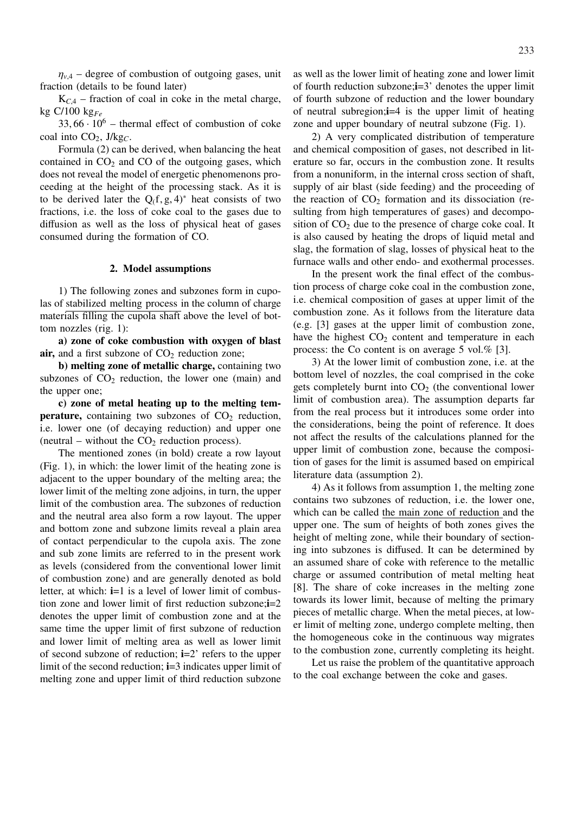$\eta_{v,4}$  – degree of combustion of outgoing gases, unit fraction (details to be found later)

 $K_{C,4}$  – fraction of coal in coke in the metal charge, kg C/100 kg*Fe*

 $33,66 \cdot 10^6$  – thermal effect of combustion of coke coal into CO<sub>2</sub>, J/kg<sub>C</sub>.

Formula (2) can be derived, when balancing the heat contained in  $CO<sub>2</sub>$  and  $CO<sub>0</sub>$  of the outgoing gases, which does not reveal the model of energetic phenomenons proceeding at the height of the processing stack. As it is to be derived later the  $Q_f$ ,  $g$ ,  $4$ )<sup>\*</sup> heat consists of two fractions, i.e. the loss of coke coal to the gases due to diffusion as well as the loss of physical heat of gases consumed during the formation of CO.

## **2. Model assumptions**

1) The following zones and subzones form in cupolas of stabilized melting process in the column of charge materials filling the cupola shaft above the level of bottom nozzles (rig. 1):

**a) zone of coke combustion with oxygen of blast**  $air$ , and a first subzone of  $CO<sub>2</sub>$  reduction zone;

**b) melting zone of metallic charge,** containing two subzones of  $CO<sub>2</sub>$  reduction, the lower one (main) and the upper one;

**c) zone of metal heating up to the melting temperature,** containing two subzones of  $CO<sub>2</sub>$  reduction, i.e. lower one (of decaying reduction) and upper one (neutral – without the  $CO<sub>2</sub>$  reduction process).

The mentioned zones (in bold) create a row layout (Fig. 1), in which: the lower limit of the heating zone is adjacent to the upper boundary of the melting area; the lower limit of the melting zone adjoins, in turn, the upper limit of the combustion area. The subzones of reduction and the neutral area also form a row layout. The upper and bottom zone and subzone limits reveal a plain area of contact perpendicular to the cupola axis. The zone and sub zone limits are referred to in the present work as levels (considered from the conventional lower limit of combustion zone) and are generally denoted as bold letter, at which: **i**=1 is a level of lower limit of combustion zone and lower limit of first reduction subzone;**i**=2 denotes the upper limit of combustion zone and at the same time the upper limit of first subzone of reduction and lower limit of melting area as well as lower limit of second subzone of reduction; **i**=2' refers to the upper limit of the second reduction; **i**=3 indicates upper limit of melting zone and upper limit of third reduction subzone as well as the lower limit of heating zone and lower limit of fourth reduction subzone;**i**=3' denotes the upper limit of fourth subzone of reduction and the lower boundary of neutral subregion;**i**=4 is the upper limit of heating zone and upper boundary of neutral subzone (Fig. 1).

2) A very complicated distribution of temperature and chemical composition of gases, not described in literature so far, occurs in the combustion zone. It results from a nonuniform, in the internal cross section of shaft, supply of air blast (side feeding) and the proceeding of the reaction of  $CO<sub>2</sub>$  formation and its dissociation (resulting from high temperatures of gases) and decomposition of  $CO<sub>2</sub>$  due to the presence of charge coke coal. It is also caused by heating the drops of liquid metal and slag, the formation of slag, losses of physical heat to the furnace walls and other endo- and exothermal processes.

In the present work the final effect of the combustion process of charge coke coal in the combustion zone, i.e. chemical composition of gases at upper limit of the combustion zone. As it follows from the literature data (e.g. [3] gases at the upper limit of combustion zone, have the highest  $CO<sub>2</sub>$  content and temperature in each process: the Co content is on average 5 vol.% [3].

3) At the lower limit of combustion zone, i.e. at the bottom level of nozzles, the coal comprised in the coke gets completely burnt into  $CO<sub>2</sub>$  (the conventional lower limit of combustion area). The assumption departs far from the real process but it introduces some order into the considerations, being the point of reference. It does not affect the results of the calculations planned for the upper limit of combustion zone, because the composition of gases for the limit is assumed based on empirical literature data (assumption 2).

4) As it follows from assumption 1, the melting zone contains two subzones of reduction, i.e. the lower one, which can be called the main zone of reduction and the upper one. The sum of heights of both zones gives the height of melting zone, while their boundary of sectioning into subzones is diffused. It can be determined by an assumed share of coke with reference to the metallic charge or assumed contribution of metal melting heat [8]. The share of coke increases in the melting zone towards its lower limit, because of melting the primary pieces of metallic charge. When the metal pieces, at lower limit of melting zone, undergo complete melting, then the homogeneous coke in the continuous way migrates to the combustion zone, currently completing its height.

Let us raise the problem of the quantitative approach to the coal exchange between the coke and gases.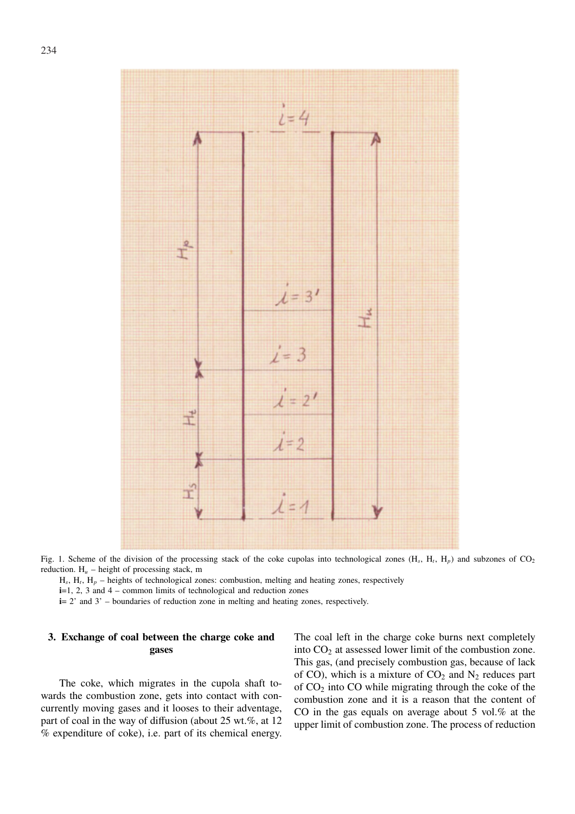

Fig. 1. Scheme of the division of the processing stack of the coke cupolas into technological zones  $(H_s, H_t, H_p)$  and subzones of  $CO_2$ reduction.  $H_u$  – height of processing stack, m

 $H_s$ ,  $H_t$ ,  $H_p$  – heights of technological zones: combustion, melting and heating zones, respectively

**i**=1, 2, 3 and 4 – common limits of technological and reduction zones

**i**= 2' and 3' – boundaries of reduction zone in melting and heating zones, respectively.

# **3. Exchange of coal between the charge coke and gases**

The coke, which migrates in the cupola shaft towards the combustion zone, gets into contact with concurrently moving gases and it looses to their adventage, part of coal in the way of diffusion (about 25 wt.%, at 12 % expenditure of coke), i.e. part of its chemical energy.

The coal left in the charge coke burns next completely into  $CO<sub>2</sub>$  at assessed lower limit of the combustion zone. This gas, (and precisely combustion gas, because of lack of CO), which is a mixture of  $CO<sub>2</sub>$  and N<sub>2</sub> reduces part of  $CO<sub>2</sub>$  into  $CO$  while migrating through the coke of the combustion zone and it is a reason that the content of CO in the gas equals on average about 5 vol.% at the upper limit of combustion zone. The process of reduction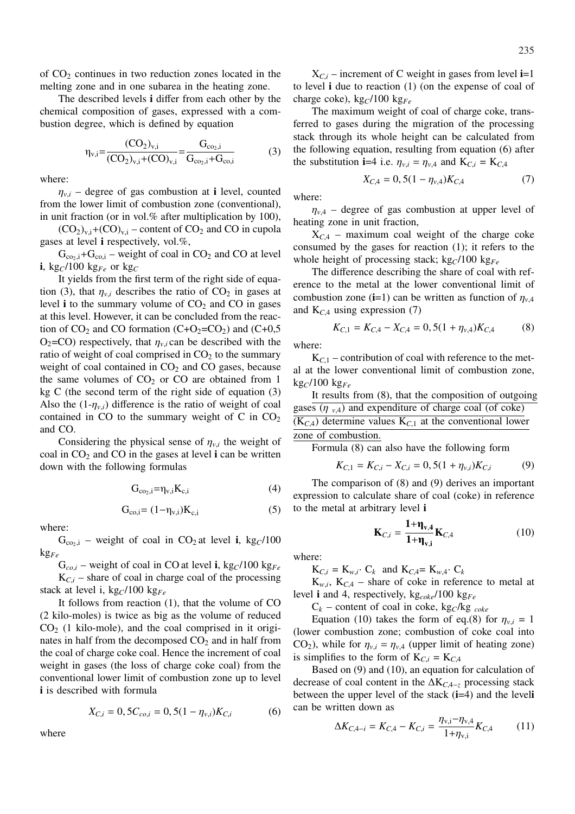of  $CO<sub>2</sub>$  continues in two reduction zones located in the melting zone and in one subarea in the heating zone.

The described levels **i** differ from each other by the chemical composition of gases, expressed with a combustion degree, which is defined by equation

$$
\eta_{v,i} = \frac{(CO_2)_{v,i}}{(CO_2)_{v,i} + (CO)_{v,i}} = \frac{G_{co_2,i}}{G_{co_2,i} + G_{co,i}}
$$
(3)

where:

 $\eta_{v,i}$  – degree of gas combustion at **i** level, counted from the lower limit of combustion zone (conventional), in unit fraction (or in vol.% after multiplication by 100),

 $(CO_2)_{v,i}$ + $(CO)_{v,i}$  – content of  $CO_2$  and CO in cupola gases at level **i** respectively, vol.%,

 $G_{\text{co}_2,i}+G_{\text{co},i}$  – weight of coal in CO<sub>2</sub> and CO at level **i**, kg<sub>*C*</sub>/100 kg<sub>*Fe*</sub> or kg<sub>*C*</sub>

It yields from the first term of the right side of equation (3), that  $\eta_{v,i}$  describes the ratio of CO<sub>2</sub> in gases at level **i** to the summary volume of  $CO<sub>2</sub>$  and  $CO$  in gases at this level. However, it can be concluded from the reaction of  $CO_2$  and CO formation (C+O<sub>2</sub>=CO<sub>2</sub>) and (C+0,5  $O_2$ =CO) respectively, that  $\eta_{v,i}$  can be described with the ratio of weight of coal comprised in  $CO<sub>2</sub>$  to the summary weight of coal contained in  $CO<sub>2</sub>$  and CO gases, because the same volumes of  $CO<sub>2</sub>$  or  $CO$  are obtained from 1 kg C (the second term of the right side of equation (3) Also the  $(1-\eta_{v,i})$  difference is the ratio of weight of coal contained in CO to the summary weight of C in  $CO<sub>2</sub>$ and CO.

Considering the physical sense of  $\eta_{v,i}$  the weight of coal in  $CO<sub>2</sub>$  and  $CO<sub>1</sub>$  in the gases at level **i** can be written down with the following formulas

$$
G_{co_2,i} = \eta_{v,i} K_{c,i} \tag{4}
$$

$$
G_{co,i} = (1 - \eta_{v,i})K_{c,i}
$$
 (5)

where:

 $G_{\text{co}_2,i}$  – weight of coal in CO<sub>2</sub> at level **i**, kg<sub>C</sub>/100 kg*Fe*

 $G_{co,i}$  – weight of coal in CO at level **i**, kg<sub>*C*</sub>/100 kg<sub>*Fe*</sub>

 $K_{C,i}$  – share of coal in charge coal of the processing stack at level i, kg*C*/100 kg*Fe*

It follows from reaction (1), that the volume of CO (2 kilo-moles) is twice as big as the volume of reduced  $CO<sub>2</sub>$  (1 kilo-mole), and the coal comprised in it originates in half from the decomposed  $CO<sub>2</sub>$  and in half from the coal of charge coke coal. Hence the increment of coal weight in gases (the loss of charge coke coal) from the conventional lower limit of combustion zone up to level **i** is described with formula

$$
X_{C,i} = 0, 5C_{co,i} = 0, 5(1 - \eta_{v,i})K_{C,i}
$$
 (6)

where

 $X_{C,i}$  – increment of C weight in gases from level **i**=1 to level **i** due to reaction (1) (on the expense of coal of charge coke), kg*C*/100 kg*Fe*

The maximum weight of coal of charge coke, transferred to gases during the migration of the processing stack through its whole height can be calculated from the following equation, resulting from equation (6) after the substitution **i**=4 i.e.  $\eta_{v,i} = \eta_{v,4}$  and  $K_{C,i} = K_{C,4}$ 

$$
X_{C,4} = 0, 5(1 - \eta_{\nu,4})K_{C,4}
$$
 (7)

where:

 $\eta_{v,4}$  – degree of gas combustion at upper level of heating zone in unit fraction,

 $X_{C,4}$  – maximum coal weight of the charge coke consumed by the gases for reaction (1); it refers to the whole height of processing stack; kg $C/100$  kg<sub>Fe</sub>

The difference describing the share of coal with reference to the metal at the lower conventional limit of combustion zone (**i**=1) can be written as function of  $\eta_{v,4}$ and  $K_{C,4}$  using expression (7)

$$
K_{C,1} = K_{C,4} - X_{C,4} = 0,5(1 + \eta_{\nu,4})K_{C,4}
$$
 (8)

where:

 $K_{C_1}$  – contribution of coal with reference to the metal at the lower conventional limit of combustion zone, kg*C*/100 kg*Fe*

It results from (8), that the composition of outgoing gases  $(\eta_{\nu,4})$  and expenditure of charge coal (of coke)  $(K_{C,4})$  determine values  $K_{C,1}$  at the conventional lower zone of combustion.

Formula (8) can also have the following form

$$
K_{C,1} = K_{C,i} - X_{C,i} = 0, 5(1 + \eta_{v,i})K_{C,i}
$$
 (9)

The comparison of (8) and (9) derives an important expression to calculate share of coal (coke) in reference to the metal at arbitrary level **i**

$$
\mathbf{K}_{C,i} = \frac{\mathbf{1} + \mathbf{\eta}_{v,4}}{\mathbf{1} + \mathbf{\eta}_{v,i}} \mathbf{K}_{C,4}
$$
(10)

where:

 $K_{C,i} = K_{w,i}$  C<sub>k</sub> and  $K_{C,4} = K_{w,4}$  C<sub>k</sub>

 $K_{w,i}$ ,  $K_{C,4}$  – share of coke in reference to metal at level **i** and 4, respectively, kg*coke*/100 kg*Fe*

 $C_k$  – content of coal in coke, kg<sub>C</sub>/kg <sub>coke</sub>

Equation (10) takes the form of eq.(8) for  $\eta_{v,i} = 1$ (lower combustion zone; combustion of coke coal into CO<sub>2</sub>), while for  $\eta_{v,i} = \eta_{v,4}$  (upper limit of heating zone) is simplifies to the form of  $K_{C,i} = K_{C,4}$ 

Based on (9) and (10), an equation for calculation of decrease of coal content in the ∆K*C*,4−*<sup>z</sup>* processing stack between the upper level of the stack (**i**=4) and the level**i** can be written down as

$$
\Delta K_{C, 4-i} = K_{C, 4} - K_{C,i} = \frac{\eta_{v,i} - \eta_{v,4}}{1 + \eta_{v,i}} K_{C, 4}
$$
(11)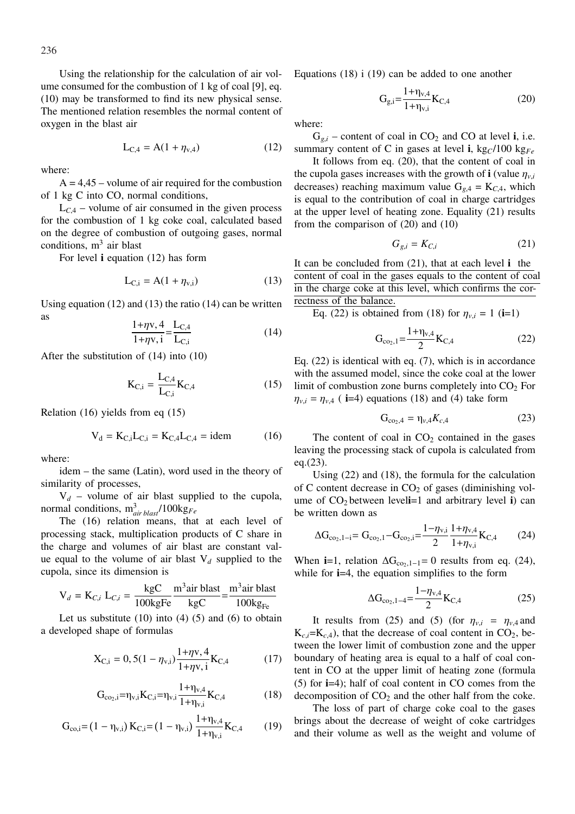236

Using the relationship for the calculation of air volume consumed for the combustion of 1 kg of coal [9], eq. (10) may be transformed to find its new physical sense. The mentioned relation resembles the normal content of oxygen in the blast air

$$
L_{C,4} = A(1 + \eta_{v,4})
$$
 (12)

where:

 $A = 4.45$  – volume of air required for the combustion of 1 kg C into CO, normal conditions,

 $L_{C<sub>4</sub>}$  – volume of air consumed in the given process for the combustion of 1 kg coke coal, calculated based on the degree of combustion of outgoing gases, normal conditions,  $m^3$  air blast

For level **i** equation (12) has form

$$
L_{C,i} = A(1 + \eta_{v,i})
$$
 (13)

Using equation  $(12)$  and  $(13)$  the ratio  $(14)$  can be written as

$$
\frac{1+\eta v, 4}{1+\eta v, i} = \frac{L_{C,4}}{L_{C,i}}\tag{14}
$$

After the substitution of (14) into (10)

$$
K_{C,i} = \frac{L_{C,4}}{L_{C,i}} K_{C,4}
$$
 (15)

Relation (16) yields from eq (15)

$$
V_d = K_{C,i}L_{C,i} = K_{C,4}L_{C,4} = idem
$$
 (16)

where:

idem – the same (Latin), word used in the theory of similarity of processes,

 $V_d$  – volume of air blast supplied to the cupola, normal conditions, m<sup>3</sup> *air blast*/100kg*Fe*

The (16) relation means, that at each level of processing stack, multiplication products of C share in the charge and volumes of air blast are constant value equal to the volume of air blast V*<sup>d</sup>* supplied to the cupola, since its dimension is

$$
V_d = K_{C,i} L_{C,i} = \frac{kgC}{100kgFe} \frac{m^3 air blast}{kgC} = \frac{m^3 air blast}{100kgFe}
$$

Let us substitute  $(10)$  into  $(4)$   $(5)$  and  $(6)$  to obtain a developed shape of formulas

$$
X_{C,i} = 0, 5(1 - \eta_{v,i}) \frac{1 + \eta v, 4}{1 + \eta v, i} K_{C,4}
$$
 (17)

$$
G_{co_2,i} = \eta_{v,i} K_{C,i} = \eta_{v,i} \frac{1 + \eta_{v,4}}{1 + \eta_{v,i}} K_{C,4}
$$
 (18)

$$
G_{co,i} = (1 - \eta_{v,i}) K_{C,i} = (1 - \eta_{v,i}) \frac{1 + \eta_{v,4}}{1 + \eta_{v,i}} K_{C,4}
$$
 (19)

Equations (18) i (19) can be added to one another

$$
G_{g,i} = \frac{1 + \eta_{v,4}}{1 + \eta_{v,i}} K_{C,4}
$$
 (20)

where:

 $G_{g,i}$  – content of coal in  $CO_2$  and CO at level **i**, i.e. summary content of C in gases at level **i**,  $kg_C/100$  kg<sub>Fe</sub>

It follows from eq. (20), that the content of coal in the cupola gases increases with the growth of **i** (value  $\eta_{v,i}$ ) decreases) reaching maximum value  $G_{g,4} = K_{C,4}$ , which is equal to the contribution of coal in charge cartridges at the upper level of heating zone. Equality (21) results from the comparison of (20) and (10)

$$
G_{g,i} = K_{C,i} \tag{21}
$$

It can be concluded from (21), that at each level **i** the content of coal in the gases equals to the content of coal in the charge coke at this level, which confirms the correctness of the balance.

Eq. (22) is obtained from (18) for  $\eta_{v,i} = 1$  (**i**=1)

$$
G_{\text{co}_2,1} = \frac{1 + \eta_{\text{v},4}}{2} K_{\text{C},4}
$$
 (22)

Eq. (22) is identical with eq. (7), which is in accordance with the assumed model, since the coke coal at the lower limit of combustion zone burns completely into  $CO<sub>2</sub>$  For  $\eta_{v,i} = \eta_{v,4}$  ( **i**=4) equations (18) and (4) take form

$$
G_{\text{co}_2,4} = \eta_{\nu,4} K_{c,4} \tag{23}
$$

The content of coal in  $CO<sub>2</sub>$  contained in the gases leaving the processing stack of cupola is calculated from eq.(23).

Using (22) and (18), the formula for the calculation of C content decrease in  $CO<sub>2</sub>$  of gases (diminishing volume of  $CO<sub>2</sub>$  between level**i**=1 and arbitrary level **i**) can be written down as

$$
\Delta G_{\text{co}_2,1-i} = G_{\text{co}_2,1} - G_{\text{co}_2,i} = \frac{1 - \eta_{\text{v},i}}{2} \frac{1 + \eta_{\text{v},4}}{1 + \eta_{\text{v},i}} K_{\text{C},4}
$$
(24)

When **i**=1, relation  $\Delta G_{\text{co}_2,1-1}=0$  results from eq. (24), while for **i**=4, the equation simplifies to the form

$$
\Delta G_{\text{co}_2,1-4} = \frac{1 - \eta_{\text{v},4}}{2} \text{K}_{\text{C},4}
$$
 (25)

It results from (25) and (5) (for  $\eta_{v,i} = \eta_{v,4}$  and  $K_{c,i} = K_{c,4}$ , that the decrease of coal content in CO<sub>2</sub>, between the lower limit of combustion zone and the upper boundary of heating area is equal to a half of coal content in CO at the upper limit of heating zone (formula (5) for **i**=4); half of coal content in CO comes from the decomposition of  $CO<sub>2</sub>$  and the other half from the coke.

The loss of part of charge coke coal to the gases brings about the decrease of weight of coke cartridges and their volume as well as the weight and volume of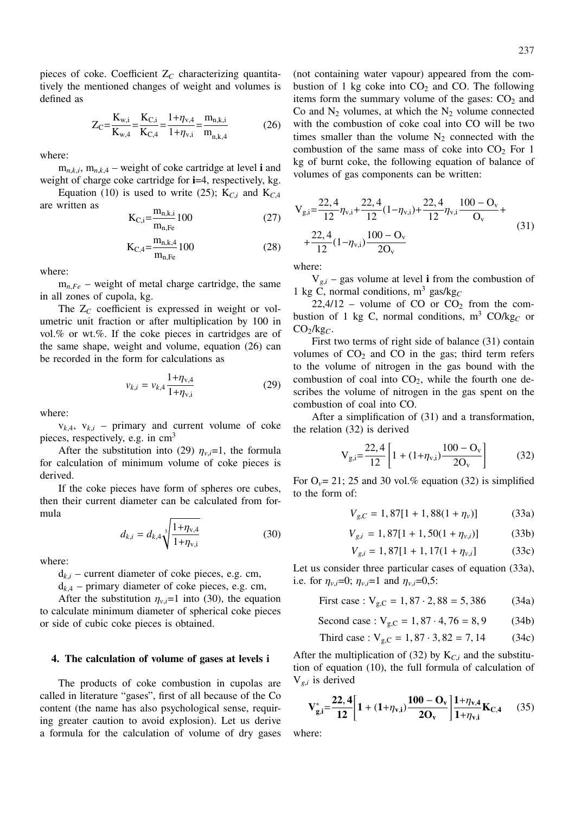pieces of coke. Coefficient Z*<sup>C</sup>* characterizing quantitatively the mentioned changes of weight and volumes is defined as

$$
Z_{C} = \frac{K_{w,i}}{K_{w,4}} = \frac{K_{C,i}}{K_{C,4}} = \frac{1 + \eta_{v,4}}{1 + \eta_{v,i}} = \frac{m_{n,k,i}}{m_{n,k,4}}
$$
(26)

where:

 $m_{n,k,i}$ ,  $m_{n,k,4}$  – weight of coke cartridge at level **i** and weight of charge coke cartridge for **i**=4, respectively, kg.

Equation (10) is used to write (25);  $K_{C,i}$  and  $K_{C,4}$ are written as

$$
K_{C,i} = \frac{m_{n,k,i}}{m_{n,Fe}} 100
$$
 (27)

$$
K_{C,4} = \frac{m_{n,k,4}}{m_{n,Fe}} 100
$$
 (28)

where:

 $m_{n,Fe}$  – weight of metal charge cartridge, the same in all zones of cupola, kg.

The Z<sub>C</sub> coefficient is expressed in weight or volumetric unit fraction or after multiplication by 100 in vol.% or wt.%. If the coke pieces in cartridges are of the same shape, weight and volume, equation (26) can be recorded in the form for calculations as

$$
v_{k,i} = v_{k,4} \frac{1 + \eta_{v,4}}{1 + \eta_{v,i}}
$$
 (29)

where:

 $v_{k,4}$ ,  $v_{k,i}$  – primary and current volume of coke pieces, respectively, e.g. in cm<sup>3</sup>

After the substitution into (29)  $\eta_{v,i}=1$ , the formula for calculation of minimum volume of coke pieces is derived.

If the coke pieces have form of spheres ore cubes, then their current diameter can be calculated from formula s

$$
d_{k,i} = d_{k,4} \sqrt[3]{\frac{1 + \eta_{v,4}}{1 + \eta_{v,i}}}
$$
 (30)

where:

 $d_{k,i}$  – current diameter of coke pieces, e.g. cm,

 $d_{k,4}$  – primary diameter of coke pieces, e.g. cm,

After the substitution  $\eta_{v,i}=1$  into (30), the equation to calculate minimum diameter of spherical coke pieces or side of cubic coke pieces is obtained.

## **4. The calculation of volume of gases at levels i**

The products of coke combustion in cupolas are called in literature "gases", first of all because of the Co content (the name has also psychological sense, requiring greater caution to avoid explosion). Let us derive a formula for the calculation of volume of dry gases (not containing water vapour) appeared from the combustion of 1 kg coke into  $CO<sub>2</sub>$  and CO. The following items form the summary volume of the gases:  $CO<sub>2</sub>$  and Co and  $N_2$  volumes, at which the  $N_2$  volume connected with the combustion of coke coal into CO will be two times smaller than the volume  $N_2$  connected with the combustion of the same mass of coke into  $CO<sub>2</sub>$  For 1 kg of burnt coke, the following equation of balance of volumes of gas components can be written:

$$
V_{g,i} = \frac{22,4}{12} \eta_{v,i} + \frac{22,4}{12} (1 - \eta_{v,i}) + \frac{22,4}{12} \eta_{v,i} \frac{100 - O_v}{O_v} + \frac{22,4}{12} (1 - \eta_{v,i}) \frac{100 - O_v}{2O_v}
$$
(31)

where:

 $V_{g,i}$  – gas volume at level **i** from the combustion of 1 kg C, normal conditions,  $m^3$  gas/kg<sub>C</sub>

 $22,4/12$  – volume of CO or CO<sub>2</sub> from the combustion of 1 kg C, normal conditions, m<sup>3</sup> CO/kg<sub>C</sub> or CO2/kg*C*.

First two terms of right side of balance (31) contain volumes of  $CO<sub>2</sub>$  and  $CO$  in the gas; third term refers to the volume of nitrogen in the gas bound with the combustion of coal into  $CO<sub>2</sub>$ , while the fourth one describes the volume of nitrogen in the gas spent on the combustion of coal into CO.

After a simplification of (31) and a transformation, the relation (32) is derived

$$
V_{g,i} = \frac{22,4}{12} \left[ 1 + (1 + \eta_{v,i}) \frac{100 - O_v}{2O_v} \right]
$$
 (32)

For  $O_v$ = 21; 25 and 30 vol.% equation (32) is simplified to the form of:

$$
V_{g,C} = 1,87[1 + 1,88(1 + \eta_v)]
$$
 (33a)

$$
V_{g,i} = 1,87[1+1,50(1+\eta_{v,i})]
$$
 (33b)

$$
V_{g,i} = 1,87[1+1,17(1+\eta_{v,i}] \tag{33c}
$$

Let us consider three particular cases of equation (33a), i.e. for  $\eta_{v,i} = 0$ ;  $\eta_{v,i} = 1$  and  $\eta_{v,i} = 0.5$ :

First case : 
$$
V_{g,C} = 1,87 \cdot 2,88 = 5,386
$$
 (34a)

Second case :  $V_{g,C} = 1,87 \cdot 4,76 = 8,9$  (34b)

Third case : 
$$
V_{g,C} = 1,87 \cdot 3,82 = 7,14
$$
 (34c)

After the multiplication of (32) by  $K_{C,i}$  and the substitution of equation (10), the full formula of calculation of V*g*,*<sup>i</sup>* is derived

$$
V_{g,i}^{*} = \frac{22,4}{12} \left[ 1 + (1 + \eta_{v,i}) \frac{100 - O_v}{2O_v} \right] \frac{1 + \eta_{v,4}}{1 + \eta_{v,i}} K_{C,4}
$$
 (35)

where: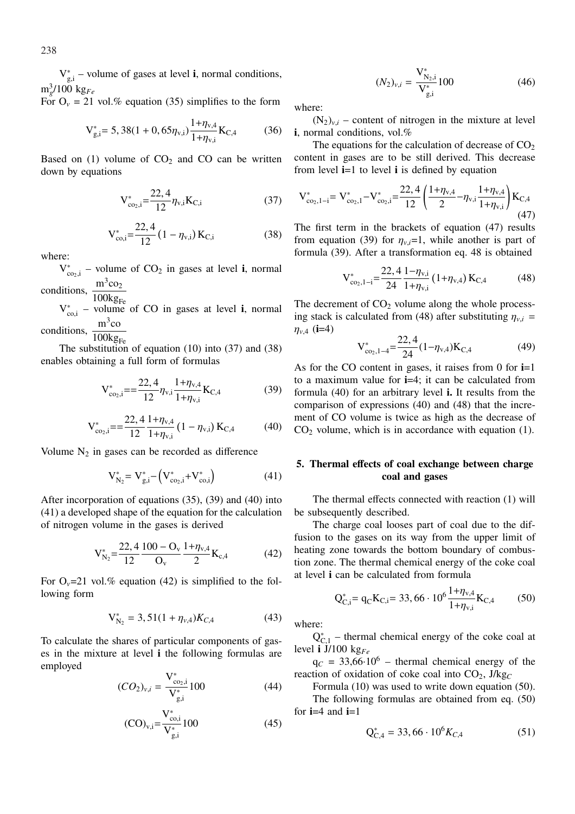$V_{g,i}^*$  – volume of gases at level **i**, normal conditions,  $\text{m}_g^3$ /100 kg<sub>Fe</sub>

For  $O_v = 21$  vol.% equation (35) simplifies to the form

$$
V_{g,i}^{*} = 5,38(1+0,65\eta_{v,i})\frac{1+\eta_{v,4}}{1+\eta_{v,i}}K_{C,4}
$$
 (36)

Based on (1) volume of  $CO<sub>2</sub>$  and CO can be written down by equations

$$
V_{co_2,i}^* = \frac{22,4}{12} \eta_{v,i} K_{C,i}
$$
 (37)

$$
V_{\text{co},i}^{*} = \frac{22,4}{12} \left( 1 - \eta_{\text{v},i} \right) K_{\text{C},i} \tag{38}
$$

where:

 $V_{\text{co}_2 i}^*$  – volume of CO<sub>2</sub> in gases at level **i**, normal v<sub>co<sub>2</sub>,i</sub> – voidin<br>conditions,  $\frac{m^3co_2}{100}$ 

 $100kg_{Fe}$ 

 $V_{\text{co,i}}^*$  – volume of CO in gases at level **i**, normal conditions,  $\frac{m^3 \text{co}}{1001}$ 

 $100kg_F$ 

The substitution of equation  $(10)$  into  $(37)$  and  $(38)$ enables obtaining a full form of formulas

$$
V_{co_2,i}^{*} = \frac{22,4}{12} \eta_{v,i} \frac{1 + \eta_{v,4}}{1 + \eta_{v,i}} K_{C,4}
$$
 (39)

$$
V_{co_2,i}^* = \frac{22,4}{12} \frac{1 + \eta_{v,4}}{1 + \eta_{v,i}} (1 - \eta_{v,i}) K_{C,4}
$$
 (40)

Volume  $N_2$  in gases can be recorded as difference

$$
V_{N_2}^* = V_{g,i}^* - (V_{co_2,i}^* + V_{co,i}^*)
$$
\n(41)

After incorporation of equations (35), (39) and (40) into (41) a developed shape of the equation for the calculation of nitrogen volume in the gases is derived

$$
V_{N_2}^* = \frac{22.4 \times 100 - O_v}{12} \frac{1 + \eta_{v,4}}{2} K_{c,4}
$$
 (42)

For  $O_v=21$  vol.% equation (42) is simplified to the following form

$$
V_{N_2}^* = 3,51(1 + \eta_{\nu,4})K_{C,4}
$$
 (43)

To calculate the shares of particular components of gases in the mixture at level **i** the following formulas are employed

$$
(CO2)v,i = \frac{V^*_{co2, i}}{V^*_{g,i}} 100
$$
 (44)

$$
(\text{CO})_{\text{v},i} = \frac{V_{\text{co},i}^*}{V_{\text{g},i}^*} 100\tag{45}
$$

$$
(N_2)_{v,i} = \frac{\mathbf{V}_{\mathbf{N}_2,i}^*}{\mathbf{V}_{g,i}^*} 100
$$
 (46)

where:

 $(N_2)_{v,i}$  – content of nitrogen in the mixture at level **i**, normal conditions, vol.%

The equations for the calculation of decrease of  $CO<sub>2</sub>$ content in gases are to be still derived. This decrease from level **i**=1 to level **i** is defined by equation

$$
V_{co_2,1-i}^* = V_{co_2,1}^* - V_{co_2,i}^* = \frac{22,4}{12} \left( \frac{1+\eta_{v,4}}{2} - \eta_{v,i} \frac{1+\eta_{v,4}}{1+\eta_{v,i}} \right) K_{C,4}
$$
\n(47)

The first term in the brackets of equation (47) results from equation (39) for  $\eta_{v,i}=1$ , while another is part of formula (39). After a transformation eq. 48 is obtained

$$
V_{\text{co}_2,1-i}^* = \frac{22,4}{24} \frac{1-\eta_{\text{v},i}}{1+\eta_{\text{v},i}} (1+\eta_{\text{v},4}) K_{\text{C},4}
$$
(48)

The decrement of  $CO<sub>2</sub>$  volume along the whole processing stack is calculated from (48) after substituting  $\eta_{v,i}$  =  $\eta_{v,4}$  (**i**=4)

$$
V_{co_2,1-4}^{*} = \frac{22,4}{24}(1-\eta_{v,4})K_{C,4}
$$
 (49)

As for the CO content in gases, it raises from 0 for **i**=1 to a maximum value for **i**=4; it can be calculated from formula (40) for an arbitrary level **i.** It results from the comparison of expressions (40) and (48) that the increment of CO volume is twice as high as the decrease of  $CO<sub>2</sub>$  volume, which is in accordance with equation (1).

# **5. Thermal effects of coal exchange between charge coal and gases**

The thermal effects connected with reaction (1) will be subsequently described.

The charge coal looses part of coal due to the diffusion to the gases on its way from the upper limit of heating zone towards the bottom boundary of combustion zone. The thermal chemical energy of the coke coal at level **i** can be calculated from formula

$$
Q_{C,i}^{*} = q_C K_{C,i} = 33,66 \cdot 10^6 \frac{1 + \eta_{v,4}}{1 + \eta_{v,i}} K_{C,4}
$$
 (50)

where:

 $Q_{C,1}^*$  – thermal chemical energy of the coke coal at level **i** J/100 kg*Fe*

 $q_C$  = 33,66·10<sup>6</sup> – thermal chemical energy of the reaction of oxidation of coke coal into  $CO<sub>2</sub>$ , J/kg<sub>C</sub>

Formula (10) was used to write down equation (50).

The following formulas are obtained from eq. (50) for  $i=4$  and  $i=1$ 

$$
Q_{C,4}^{*} = 33,66 \cdot 10^{6} K_{C,4}
$$
 (51)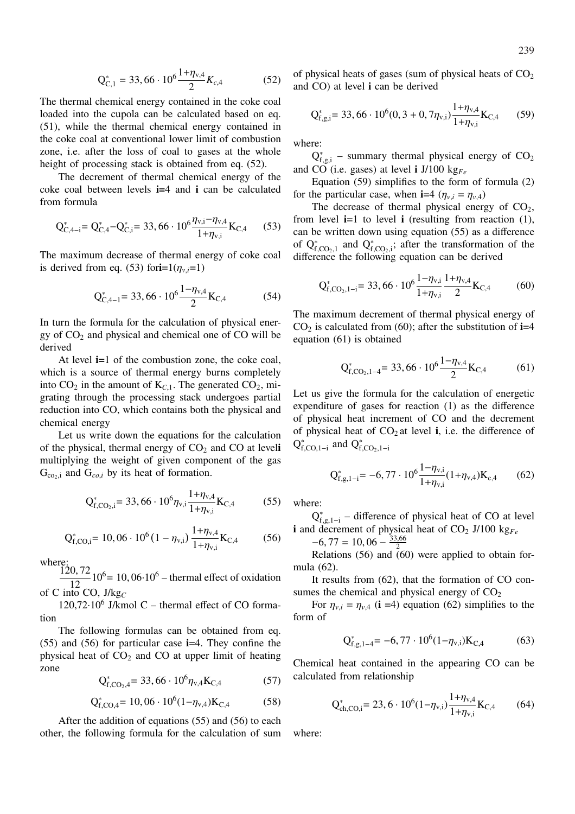$$
Q_{C,1}^* = 33,66 \cdot 10^6 \frac{1 + \eta_{v,4}}{2} K_{c,4}
$$
 (52)

The thermal chemical energy contained in the coke coal loaded into the cupola can be calculated based on eq. (51), while the thermal chemical energy contained in the coke coal at conventional lower limit of combustion zone, i.e. after the loss of coal to gases at the whole height of processing stack is obtained from eq. (52).

The decrement of thermal chemical energy of the coke coal between levels **i=**4 and **i** can be calculated from formula

$$
Q_{C,4-i}^{*} = Q_{C,4}^{*} - Q_{C,i}^{*} = 33,66 \cdot 10^{6} \frac{\eta_{v,i} - \eta_{v,4}}{1 + \eta_{v,i}} K_{C,4}
$$
 (53)

The maximum decrease of thermal energy of coke coal is derived from eq. (53) for**i**=1( $\eta_{v,i}$ =1)

$$
Q_{C,4-1}^{*} = 33,66 \cdot 10^{6} \frac{1 - \eta_{v,4}}{2} K_{C,4}
$$
 (54)

In turn the formula for the calculation of physical energy of  $CO<sub>2</sub>$  and physical and chemical one of  $CO$  will be derived

At level **i=**1 of the combustion zone, the coke coal, which is a source of thermal energy burns completely into  $CO<sub>2</sub>$  in the amount of  $K<sub>C,1</sub>$ . The generated  $CO<sub>2</sub>$ , migrating through the processing stack undergoes partial reduction into CO, which contains both the physical and chemical energy

Let us write down the equations for the calculation of the physical, thermal energy of CO<sup>2</sup> and CO at level**i** multiplying the weight of given component of the gas  $G_{\text{co}_2,i}$  and  $G_{\text{co}_2,i}$  by its heat of formation.

$$
Q_{f,CO_2,i}^* = 33,66 \cdot 10^6 \eta_{v,i} \frac{1 + \eta_{v,4}}{1 + \eta_{v,i}} K_{C,4}
$$
 (55)

$$
Q_{f,CO,i}^{*} = 10,06 \cdot 10^{6} (1 - \eta_{v,i}) \frac{1 + \eta_{v,4}}{1 + \eta_{v,i}} K_{C,4}
$$
 (56)

where:

120, 72  $\frac{10,72}{12}$  10<sup>6</sup> = 10, 06·10<sup>6</sup> – thermal effect of oxidation of C into CO, J/kg*<sup>C</sup>*

120,72·10<sup>6</sup> J/kmol C – thermal effect of CO formation

The following formulas can be obtained from eq. (55) and (56) for particular case **i**=4. They confine the physical heat of  $CO<sub>2</sub>$  and  $CO$  at upper limit of heating zone

$$
Q_{f,CO_2,4}^* = 33,66 \cdot 10^6 \eta_{v,4} K_{C,4}
$$
 (57)

$$
Q_{f,CO,4}^{*} = 10,06 \cdot 10^{6} (1 - \eta_{v,4}) K_{C,4}
$$
 (58)

After the addition of equations (55) and (56) to each other, the following formula for the calculation of sum of physical heats of gases (sum of physical heats of  $CO<sub>2</sub>$ and CO) at level **i** can be derived

$$
Q_{f,g,i}^{*} = 33,66 \cdot 10^{6} (0, 3 + 0, 7\eta_{v,i}) \frac{1 + \eta_{v,4}}{1 + \eta_{v,i}} K_{C,4}
$$
 (59)

where:

 $Q_{f,g,i}^*$  – summary thermal physical energy of  $CO_2$ and CO (i.e. gases) at level **i** J/100 kg*Fe*

Equation (59) simplifies to the form of formula (2) for the particular case, when **i**=4 ( $\eta_{v,i} = \eta_{v,4}$ )

The decrease of thermal physical energy of  $CO<sub>2</sub>$ , from level **i**=1 to level **i** (resulting from reaction (1), can be written down using equation (55) as a difference of  $Q_{f,CO_2,1}^*$  and  $Q_{f,CO_2,i}^*$ ; after the transformation of the difference the following equation can be derived

$$
Q_{f,CO_2,1-i}^* = 33,66 \cdot 10^6 \frac{1 - \eta_{v,i}}{1 + \eta_{v,i}} \frac{1 + \eta_{v,4}}{2} K_{C,4}
$$
 (60)

The maximum decrement of thermal physical energy of  $CO<sub>2</sub>$  is calculated from (60); after the substitution of **i**=4 equation (61) is obtained

$$
Q_{f,CO_2,1-4}^* = 33,66 \cdot 10^6 \frac{1 - \eta_{v,4}}{2} K_{C,4}
$$
 (61)

Let us give the formula for the calculation of energetic expenditure of gases for reaction (1) as the difference of physical heat increment of CO and the decrement of physical heat of  $CO<sub>2</sub>$  at level **i**, i.e. the difference of  $Q_{f,CO,1-i}^*$  and  $Q_{f,CO_2,1-i}^*$ 

$$
Q_{f,g,1-i}^{*} = -6,77 \cdot 10^{6} \frac{1 - \eta_{v,i}}{1 + \eta_{v,i}} (1 + \eta_{v,4}) K_{c,4}
$$
 (62)

where:

 $Q_{f,g,1-i}^*$  – difference of physical heat of CO at level **i** and decrement of physical heat of  $CO<sub>2</sub>$  J/100 kg<sub>Fe</sub>

 $-6, 77 = 10, 06 - \frac{33,66}{2}$ 2

Relations  $(56)$  and  $(60)$  were applied to obtain formula (62).

It results from (62), that the formation of CO consumes the chemical and physical energy of  $CO<sub>2</sub>$ 

For  $\eta_{v,i} = \eta_{v,4}$  (**i** =4) equation (62) simplifies to the form of

$$
Q_{f,g,1-4}^{*} = -6,77 \cdot 10^{6} (1 - \eta_{v,i}) K_{C,4}
$$
 (63)

Chemical heat contained in the appearing CO can be calculated from relationship

$$
Q_{ch,CO,i}^{*} = 23, 6 \cdot 10^{6} (1 - \eta_{v,i}) \frac{1 + \eta_{v,4}}{1 + \eta_{v,i}} K_{C,4}
$$
 (64)

where: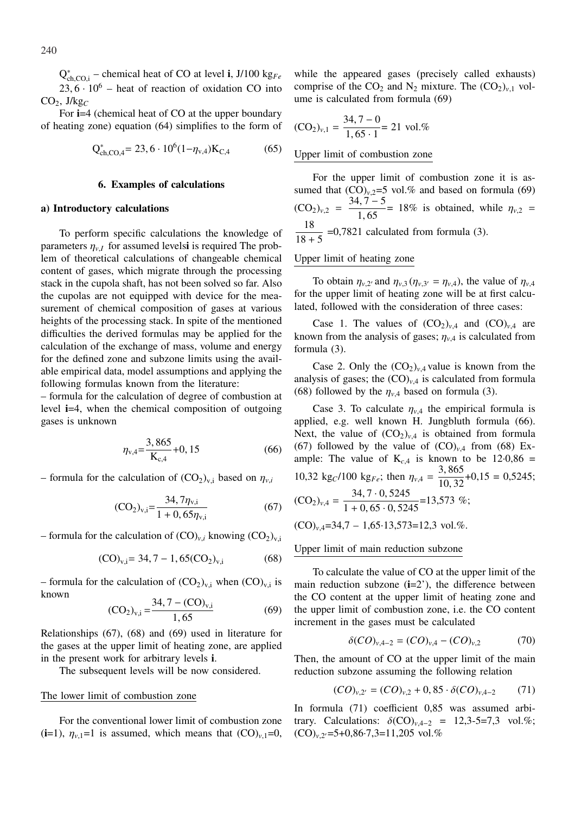Q ∗ ch,CO,i – chemical heat of CO at level **i**, J/100 kg*Fe*  $23, 6 \cdot 10^6$  – heat of reaction of oxidation CO into  $CO<sub>2</sub>$ , J/kg<sub>C</sub>

For **i**=4 (chemical heat of CO at the upper boundary of heating zone) equation (64) simplifies to the form of

$$
Q_{ch,CO,4}^{*} = 23,6 \cdot 10^{6} (1 - \eta_{v,4}) K_{C,4}
$$
 (65)

## **6. Examples of calculations**

## **a) Introductory calculations**

To perform specific calculations the knowledge of parameters  $\eta_{v,I}$  for assumed levelsi is required The problem of theoretical calculations of changeable chemical content of gases, which migrate through the processing stack in the cupola shaft, has not been solved so far. Also the cupolas are not equipped with device for the measurement of chemical composition of gases at various heights of the processing stack. In spite of the mentioned difficulties the derived formulas may be applied for the calculation of the exchange of mass, volume and energy for the defined zone and subzone limits using the available empirical data, model assumptions and applying the following formulas known from the literature:

– formula for the calculation of degree of combustion at level **i**=4, when the chemical composition of outgoing gases is unknown

$$
\eta_{v,4} = \frac{3,865}{K_{c,4}} + 0,15\tag{66}
$$

 $-$  formula for the calculation of  $(CO_2)_{v,i}$  based on  $\eta_{v,i}$ 

$$
(CO2)v,i = \frac{34, 7\etav,i}{1 + 0, 65\etav,i}
$$
 (67)

– formula for the calculation of  $(CO)_{v,i}$  knowing  $(CO_2)_{v,i}$ 

$$
(CO)_{v,i} = 34, 7 - 1, 65 (CO2)_{v,i}
$$
 (68)

– formula for the calculation of  $(CO_2)_{v,i}$  when  $(CO)_{v,i}$  is known  $24, 7$  (CO)

$$
(\text{CO}_2)_{\text{v,i}} = \frac{34, l - (\text{CO})_{\text{v,i}}}{1,65} \tag{69}
$$

Relationships (67), (68) and (69) used in literature for the gases at the upper limit of heating zone, are applied in the present work for arbitrary levels **i**.

The subsequent levels will be now considered.

## The lower limit of combustion zone

For the conventional lower limit of combustion zone  $(i=1)$ ,  $\eta_{v,1}=1$  is assumed, which means that  $(CO)_{v,1}=0$ ,

while the appeared gases (precisely called exhausts) comprise of the  $CO_2$  and N<sub>2</sub> mixture. The  $(CO_2)_{v,1}$  volume is calculated from formula (69)

$$
(\text{CO}_2)_{v,1} = \frac{34,7-0}{1,65 \cdot 1} = 21 \text{ vol.}
$$
%

## Upper limit of combustion zone

For the upper limit of combustion zone it is assumed that  $(CO)_{v,2}=5$  vol.% and based on formula (69)  $(CO_2)_{v,2} = \frac{34, 7-5}{1,65} = 18\%$  is obtained, while  $\eta_{v,2} =$ 18  $\frac{18}{18 + 5}$  =0,7821 calculated from formula (3).

## Upper limit of heating zone

To obtain  $\eta_{v,2}$  and  $\eta_{v,3}$  ( $\eta_{v,3'} = \eta_{v,4}$ ), the value of  $\eta_{v,4}$ for the upper limit of heating zone will be at first calculated, followed with the consideration of three cases:

Case 1. The values of  $(CO_2)_{v,4}$  and  $(CO)_{v,4}$  are known from the analysis of gases;  $\eta_{v,4}$  is calculated from formula (3).

Case 2. Only the  $(CO_2)_{v,4}$  value is known from the analysis of gases; the  $(CO)_{v,4}$  is calculated from formula (68) followed by the  $\eta_{v,4}$  based on formula (3).

Case 3. To calculate  $\eta_{v,4}$  the empirical formula is applied, e.g. well known H. Jungbluth formula (66). Next, the value of  $(CO_2)_{v,4}$  is obtained from formula (67) followed by the value of  $(CO)_{v,4}$  from (68) Example: The value of  $K_{c,4}$  is known to be 12.0,86 = 10,32 kg<sub>C</sub>/100 kg<sub>Fe</sub>; then  $\eta_{v,4} = \frac{3,865}{10,32}$  $\frac{5,005}{10,32}$  + 0,15 = 0,5245;  $(CO_2)_{v,4} = \frac{34, 7 \cdot 0, 5245}{1 + 0, 65 \cdot 0, 5245} = 13,573$  %;  $(CO)_{v,4}$ =34,7 – 1,65·13,573=12,3 vol.%.

#### Upper limit of main reduction subzone

To calculate the value of CO at the upper limit of the main reduction subzone  $(i=2')$ , the difference between the CO content at the upper limit of heating zone and the upper limit of combustion zone, i.e. the CO content increment in the gases must be calculated

$$
\delta(CO)_{\nu,4-2} = (CO)_{\nu,4} - (CO)_{\nu,2} \tag{70}
$$

Then, the amount of CO at the upper limit of the main reduction subzone assuming the following relation

$$
(CO)_{v,2'} = (CO)_{v,2} + 0.85 \cdot \delta (CO)_{v,4-2} \tag{71}
$$

In formula (71) coefficient 0,85 was assumed arbitrary. Calculations:  $\delta (CO)_{v,4-2} = 12,3-5=7,3$  vol.%;  $(CO)_{v,2}$  = 5+0,86 $\cdot$ 7,3=11,205 vol.%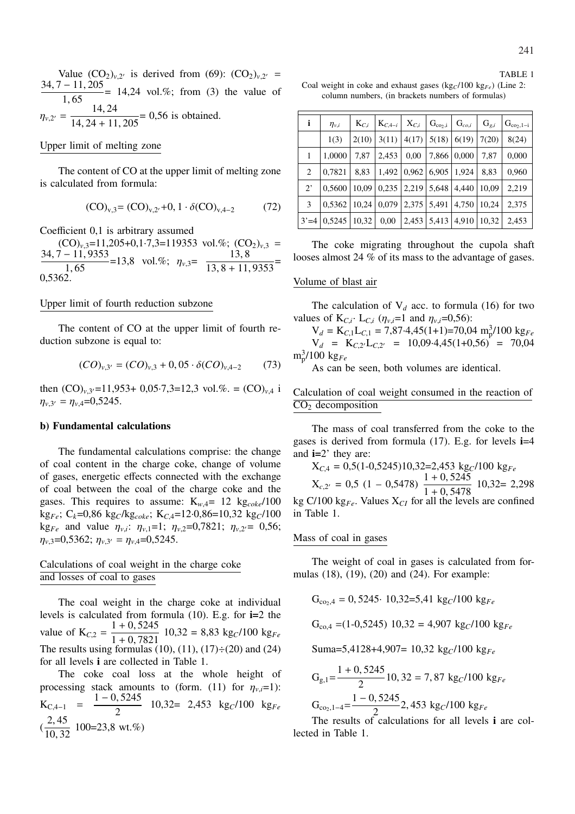Value  $(CO_2)_{v,2}$  is derived from (69):  $(CO_2)_{v,2}$  =  $\frac{34, 7 - 11, 205}{1, 65}$  = 14,24 vol.%; from (3) the value of  $\eta_{v,2'} = \frac{14, 24}{14, 24 + 11, 205} = 0,56$  is obtained.

## Upper limit of melting zone

The content of CO at the upper limit of melting zone is calculated from formula:

$$
(CO)_{v,3} = (CO)_{v,2'} + 0, 1 \cdot \delta (CO)_{v,4-2}
$$
 (72)

Coefficient 0,1 is arbitrary assumed

 $(CO)_{v,3}$ =11,205+0,1·7,3=119353 vol.%;  $(CO_2)_{v,3}$  =  $\frac{34, 7 - 11, 9353}{1, 65}$ =13,8 vol.%;  $\eta_{v,3} = \frac{13, 8}{13, 8 + 11, 9353}$ = 0,5362.

## Upper limit of fourth reduction subzone

The content of CO at the upper limit of fourth reduction subzone is equal to:

$$
(CO)_{v,3'} = (CO)_{v,3} + 0,05 \cdot \delta (CO)_{v,4-2} \tag{73}
$$

then  $(CO)_{v,3}$  = 11,953+ 0,05·7,3=12,3 vol.%. =  $(CO)_{v,4}$  i  $\eta_{v,3'} = \eta_{v,4} = 0,5245.$ 

#### **b) Fundamental calculations**

The fundamental calculations comprise: the change of coal content in the charge coke, change of volume of gases, energetic effects connected with the exchange of coal between the coal of the charge coke and the gases. This requires to assume:  $K_{w,4} = 12 \text{ kg}_{coke} / 100$ kg*Fe*; C*k*=0,86 kg*C*/kg*coke*; K*C*,4=12·0,86=10,32 kg*C*/100  $k g_{Fe}$  and value  $\eta_{v,i}$ :  $\eta_{v,1} = 1$ ;  $\eta_{v,2} = 0.7821$ ;  $\eta_{v,2} = 0.56$ ;  $\eta_{v,3}$ =0,5362;  $\eta_{v,3'} = \eta_{v,4}$ =0,5245.

# Calculations of coal weight in the charge coke and losses of coal to gases

The coal weight in the charge coke at individual levels is calculated from formula (10). E.g. for **i=**2 the value of  $K_{C,2} = \frac{1+0,5245}{1+0,7821}$  $\frac{1 + 0.5245}{1 + 0.7821}$  10.32 = 8.83 kg<sub>*C*</sub>/100 kg<sub>Fe</sub> The results using formulas (10), (11), (17) $\div$ (20) and (24) for all levels **i** are collected in Table 1.

The coke coal loss at the whole height of processing stack amounts to (form. (11) for  $\eta_v$ *<sub>i</sub>*=1):  $K_{C,4-1} = \frac{1-0,5245}{2}$ 2 10,32= 2,453 kg*C*/100 kg*Fe*  $\left(\frac{2,45}{10,25}\right)$  $\frac{2}{10, 32}$  100=23,8 wt.%)

TABLE 1 Coal weight in coke and exhaust gases (kg<sub>C</sub>/100 kg<sub>Fe</sub>) (Line 2: column numbers, (in brackets numbers of formulas)

| i           | $\eta_{v,i}$         | $K_{C,i}$ | $K_{C, 4-i}$ | $X_{C,i}$       | $G_{co_2,i}$    | $G_{co,i}$      | $G_{g,i}$ | $G_{co_2,1-i}$ |
|-------------|----------------------|-----------|--------------|-----------------|-----------------|-----------------|-----------|----------------|
|             | 1(3)                 | 2(10)     | 3(11)        | 4(17)           |                 | 5(18)   6(19)   | 7(20)     | 8(24)          |
| 1           | 1,0000               | 7.87      | 2,453        | 0,00            | 7,866   0,000   |                 | 7,87      | 0,000          |
| 2           | 0,7821               | 8,83      | 1,492        | 0.962           | $6,905$   1,924 |                 | 8,83      | 0,960          |
| $2^{\circ}$ | 0.5600               | 10,09     |              | $0,235$   2,219 | $5,648$   4,440 |                 | 10.09     | 2,219          |
| 3           | $0,5362$   10,24     |           | 0,079        | 2,375 5,491     |                 | 4,750           | 10,24     | 2,375          |
|             | $3' = 4 \mid 0.5245$ | 10,32     | 0,00         | 2,453           |                 | $5,413$   4,910 | 10,32     | 2,453          |

The coke migrating throughout the cupola shaft looses almost 24 % of its mass to the advantage of gases.

#### Volume of blast air

The calculation of  $V_d$  acc. to formula (16) for two values of  $K_{C,i}$ .  $L_{C,i}$  ( $\eta_{v,i}=1$  and  $\eta_{v,i}=0,56$ ):

 $V_d = K_{C,1}L_{C,1} = 7{,}87{\cdot}4{,}45(1{+}1) = 70{,}04 \text{ m}_p^3/100 \text{ kg}_{Fe}$  $V_d$  =  $K_{C,2'}L_{C,2'}$  = 10,09.4,45(1+0,56) = 70,04 m<sup>3</sup> p /100 kg*Fe*

As can be seen, both volumes are identical.

# Calculation of coal weight consumed in the reaction of  $\overline{CO_2}$  decomposition

The mass of coal transferred from the coke to the gases is derived from formula (17). E.g. for levels **i**=4 and **i=**2' they are:

$$
X_{C,4} = 0.5(1-0.5245)10.32=2.453 \text{ kg}_C/100 \text{ kg}_{Fe}
$$
  
\n
$$
X_{c,2'} = 0.5 (1 - 0.5478) \frac{1+0.5245}{1+0.5478} 10.32= 2.298
$$
  
\nkg C/100 kg<sub>Fe</sub>. Values X<sub>CI</sub> for all the levels are confined  
\nin Table 1.

## Mass of coal in gases

The weight of coal in gases is calculated from formulas (18), (19), (20) and (24). For example:

$$
G_{co_2,4} = 0,5245 \cdot 10,32=5,41 \text{ kg}_C/100 \text{ kg}_{Fe}
$$

$$
G_{\text{co},4} = (1-0.5245) \ 10.32 = 4.907 \ \text{kg} / 100 \ \text{kg} / \text{kg}
$$

Suma=5,4128+4,907= 10,32 kg*C*/100 kg*Fe*

$$
G_{g,1} = \frac{1 + 0,5245}{2} 10,32 = 7,87 \text{ kg}^{-1} = 100 \text{ kg} = 1000 \text{ kg}
$$
  

$$
G_{\text{co}_{2},1-4} = \frac{1 - 0,5245}{2} 2,453 \text{ kg}^{-1} = 100 \text{ kg}
$$

The results of calculations for all levels **i** are collected in Table 1.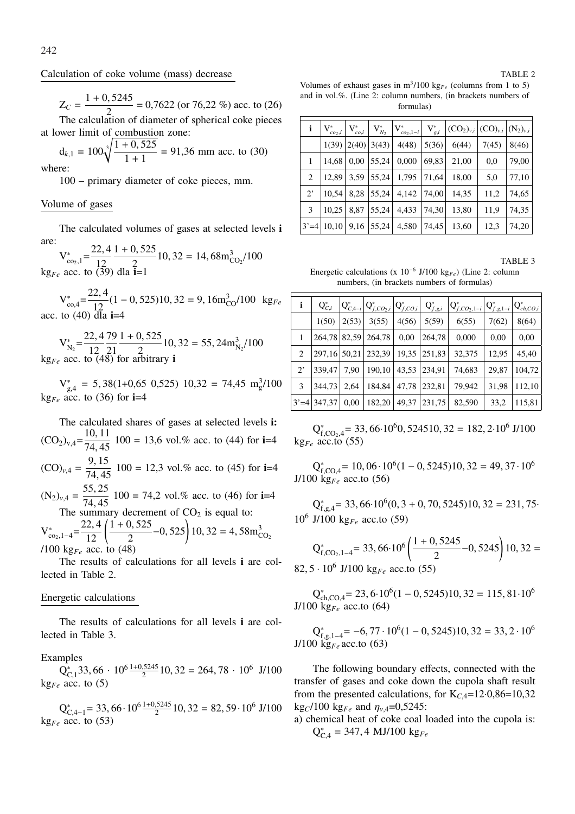$$
Z_C = \frac{1 + 0.5245}{2} = 0.7622 \text{ (or } 76.22 \text{ %) acc. to } (26)
$$

The calculation of diameter of spherical coke pieces at lower limit of combustion zone:

$$
d_{k,1} = 100\sqrt[3]{\frac{1+0,525}{1+1}} = 91,36
$$
 mm acc. to (30)  
where:

100 – primary diameter of coke pieces, mm.

# Volume of gases

The calculated volumes of gases at selected levels **i** are:

 $V_{\text{co}_2,1}^* = \frac{22,4}{12}$ 12  $1 + 0,525$  $\frac{3,323}{2}$  10, 32 = 14, 68m<sup>3</sup><sub>CO2</sub>/100 kg<sub>*Fe*</sub> acc. to  $(39)$  dla **i**=1

 $V_{\text{co,4}}^* = \frac{22,4}{12}$  $\frac{2}{12}$  (1 − 0, 525)10, 32 = 9, 16m<sup>3</sup><sub>co</sub>/100 kg<sub>Fe</sub> acc. to  $(40)$  dla **i**=4

 $V_{N_2}^* = \frac{22, 4}{12}$ 12 79 21  $1 + 0,525$  $\frac{35,323}{2}$  10, 32 = 55, 24m<sup>3</sup><sub>N<sub>2</sub></sub>/100  $kg_{Fe}$  acc. to  $\overline{(48)}$  for arbitrary **i** 

 $V_{g,4}^* = 5,38(1+0,65 \ 0,525) \ 10,32 = 74,45 \ m_g^3/100$  $kg_{Fe}$  acc. to (36) for **i**=4

The calculated shares of gases at selected levels **i:**  $(CO_2)_{v,4} = \frac{10, 11}{74, 45}$  100 = 13,6 vol.% acc. to (44) for **i**=4  $(CO)_{v,4} = \frac{9, 15}{74, 45}$  100 = 12,3 vol.% acc. to (45) for **i**=4  $(N_2)_{v,4} = \frac{55,25}{74,45}$  100 = 74,2 vol.% acc. to (46) for **i**=4 The summary decrement of  $CO<sub>2</sub>$  is equal to:

 $V_{\text{co}_2,1-4}^* = \frac{22,4}{12}$  $\frac{2,4}{12}$  $1 + 0, 525$ 2 <sup>−</sup>0, <sup>525</sup>! 10, 32 = 4, 58m<sup>3</sup> CO<sup>2</sup> /100 kg*Fe* acc. to (48)

The results of calculations for all levels **i** are collected in Table 2.

# Energetic calculations

The results of calculations for all levels **i** are collected in Table 3.

# Examples

 $Q_{C,1}^*$ 33, 66 ·  $10^6 \frac{1+0.5245}{2}$ 10, 32 = 264, 78 ·  $10^6$  J/100  $kg_{Fe}$  acc. to (5)

$$
Q_{C,4-1}^* = 33,66 \cdot 10^6 \frac{1+0.5245}{2} 10,32 = 82,59 \cdot 10^6 \text{ J}/100
$$
  
kg<sub>Fe</sub> acc. to (53)

Volumes of exhaust gases in  $m^3/100$  kg<sub>Fe</sub> (columns from 1 to 5) and in vol.%. (Line 2: column numbers, (in brackets numbers of formulas)

| i           | $V^*_{co_2,i}$ | ${\rm V}^*_{co,i}$    | $\cdot$ $V_{N_2}^*$ . | $\big  V^*_{co_2, 1-i} \big $ | $V_{g,i}^*$ | $ (CO_2)_{v,i} (CO)_{v,i} (N_2)_{v,i}$ |       |       |
|-------------|----------------|-----------------------|-----------------------|-------------------------------|-------------|----------------------------------------|-------|-------|
|             |                | 1(39)   2(40)   3(43) |                       | 4(48)                         | 5(36)       | 6(44)                                  | 7(45) | 8(46) |
| 1           | 14,68          | 0,00                  | 55,24                 | 0,000                         | 69,83       | 21,00                                  | 0,0   | 79,00 |
| 2           | 12.89          | 3,59                  | 55,24                 | 1,795                         | 71,64       | 18,00                                  | 5,0   | 77,10 |
| $2^{\circ}$ | 10.54          | 8,28                  | 55,24                 | 4,142                         | 74,00       | 14,35                                  | 11,2  | 74,65 |
| 3           | 10,25          | 8,87                  | 55,24                 | 4,433                         | 74,30       | 13,80                                  | 11,9  | 74,35 |
| $3' = 4$    | 10,10          | 9,16                  | 55,24                 | 4,580                         | 74,45       | 13,60                                  | 12,3  | 74,20 |

TABLE 3

Energetic calculations (x 10<sup>−</sup><sup>6</sup> J/100 kg*Fe*) (Line 2: column numbers, (in brackets numbers of formulas)

| i           | $Q^*_{C,i}$               |       | $Q_{C,4-i}^* Q_{f,CO_2,i}^* Q_{f,CO,i}^* $ |       | $Q_{f,g,i}^*$ | $ Q_{f,CO_2,1-i}^* $ | $Q_{f,g,1-i}^*$ | $Q_{ch,CO,i}^*$ |
|-------------|---------------------------|-------|--------------------------------------------|-------|---------------|----------------------|-----------------|-----------------|
|             | 1(50)                     | 2(53) | 3(55)                                      | 4(56) | 5(59)         | 6(55)                | 7(62)           | 8(64)           |
| 1           | 264,78                    |       | 82,59 264,78                               | 0,00  | 264,78        | 0,000                | 0,00            | 0,00            |
| 2           | 297, 16 50, 21            |       | 232,39                                     | 19,35 | 251,83        | 32,375               | 12,95           | 45,40           |
| $2^{\circ}$ | 339.47                    | 7.90  | 190,10                                     | 43,53 | 234,91        | 74,683               | 29,87           | 104,72          |
| 3           | 344,73                    | 2,64  | 184,84                                     | 47,78 | 232,81        | 79,942               | 31,98           | 112,10          |
|             | $3' = 4 \mid 347,37 \mid$ | 0,00  | 182,20                                     | 49,37 | 231,75        | 82,590               | 33,2            | 115,81          |

 $Q_{f,CO_2,4}^* = 33,66.10^6$ 0, 524510, 32 = 182, 2.10<sup>6</sup> J/100  $kg_{Fe}$  acc.to (55)

 $Q_{f,CO,4}^* = 10,06 \cdot 10^6 (1 - 0,5245)10,32 = 49,37 \cdot 10^6$ J/100 kg*Fe* acc.to (56)

 $Q_{f,g,4}^*$  = 33, 66 $\cdot 10^6(0, 3 + 0, 70, 5245)10, 32 = 231, 75$ 10<sup>6</sup> J/100 kg*Fe* acc.to (59)

$$
Q_{f,CO_2,1-4}^*
$$
 = 33, 66·10<sup>6</sup>  $\left(\frac{1+0,5245}{2} - 0,5245\right)$  10, 32 = 82, 5 · 10<sup>6</sup> J/100 kg<sub>Fe</sub> acc.to (55)

 $Q_{ch,CO,4}^{*} = 23, 6 \cdot 10^{6} (1 - 0, 5245) 10, 32 = 115, 81 \cdot 10^{6}$ J/100 kg*Fe* acc.to (64)

$$
Q_{f,g,1-4}^* = -6, 77 \cdot 10^6 (1 - 0, 5245) 10, 32 = 33, 2 \cdot 10^6
$$
  
J/100 kg<sub>F $e$</sub>  acc.to (63)

The following boundary effects, connected with the transfer of gases and coke down the cupola shaft result from the presented calculations, for  $K_{C,4}=12.0,86=10,32$ kg<sub>*C*</sub>/100 kg<sub>*Fe*</sub> and  $\eta_{v,4}$ =0,5245:

a) chemical heat of coke coal loaded into the cupola is: Q ∗ C,4 = 347, 4 MJ/100 kg*Fe*

TABLE 2